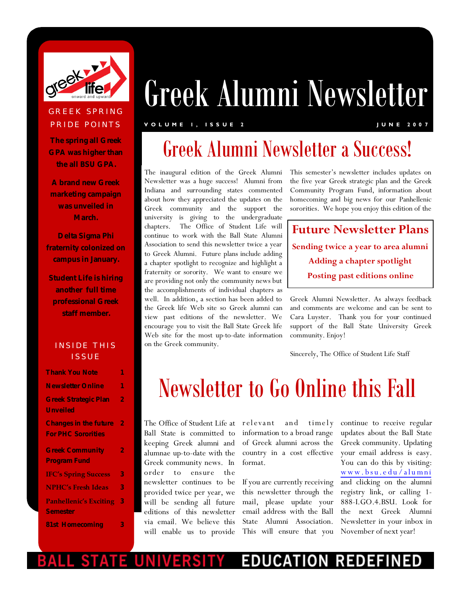

### Greek Alumni Newsletter **GREEK SPRING** PRIDE POINTS

#### **V O L U M E 1 , I S S U E 2 J U N E 2 0 0 7**

**The spring all Greek GPA was higher than the all BSU GPA.**

**A brand new Greek marketing campaign was unveiled in March.**

**Delta Sigma Phi fraternity colonized on campus in January.**

**Student Life is hiring another full time professional Greek staff member.**

#### INSIDE THIS **ISSUE**

| <b>Thank You Note</b>                                     |   |
|-----------------------------------------------------------|---|
| <b>Newsletter Online</b>                                  | 1 |
| <b>Greek Strategic Plan</b><br>Unveiled                   | 2 |
| <b>Changes in the future</b><br><b>For PHC Sororities</b> | 2 |
| <b>Greek Community</b><br><b>Program Fund</b>             | 2 |
| <b>IFC's Spring Success</b>                               | 3 |
| <b>NPHC's Fresh Ideas</b>                                 | 3 |
| <b>Panhellenic's Exciting</b><br>Semester                 | 3 |
| 81st Homecoming                                           | З |

## Greek Alumni Newsletter a Success!

The inaugural edition of the Greek Alumni Newsletter was a huge success! Alumni from Indiana and surrounding states commented about how they appreciated the updates on the Greek community and the support the university is giving to the undergraduate chapters. The Office of Student Life will continue to work with the Ball State Alumni Association to send this newsletter twice a year to Greek Alumni. Future plans include adding a chapter spotlight to recognize and highlight a fraternity or sorority. We want to ensure we are providing not only the community news but the accomplishments of individual chapters as well. In addition, a section has been added to the Greek life Web site so Greek alumni can view past editions of the newsletter. We encourage you to visit the Ball State Greek life Web site for the most up-to-date information on the Greek community.

This semester's newsletter includes updates on the five year Greek strategic plan and the Greek Community Program Fund, information about homecoming and big news for our Panhellenic sororities. We hope you enjoy this edition of the

**Future Newsletter Plans Sending twice a year to area alumni Adding a chapter spotlight Posting past editions online**

Greek Alumni Newsletter. As always feedback and comments are welcome and can be sent to Cara Luyster. Thank you for your continued support of the Ball State University Greek community. Enjoy!

Sincerely, The Office of Student Life Staff

# Newsletter to Go Online this Fall

The Office of Student Life at relevant Ball State is committed to keeping Greek alumni and alumnae up-to-date with the Greek community news. In order to ensure the newsletter continues to be provided twice per year, we will be sending all future editions of this newsletter via email. We believe this will enable us to provide

and timely information to a broad range of Greek alumni across the country in a cost effective format.

If you are currently receiving this newsletter through the mail, please update your email address with the Ball State Alumni Association. This will ensure that you continue to receive regular updates about the Ball State Greek community. Updating your email address is easy. You can do this by visiting: www.bsu.edu/alumni and clicking on the alumni registry link, or calling 1- 888-I.GO.4.BSU. Look for the next Greek Alumni Newsletter in your inbox in November of next year!

#### EDU **RED** CAT ION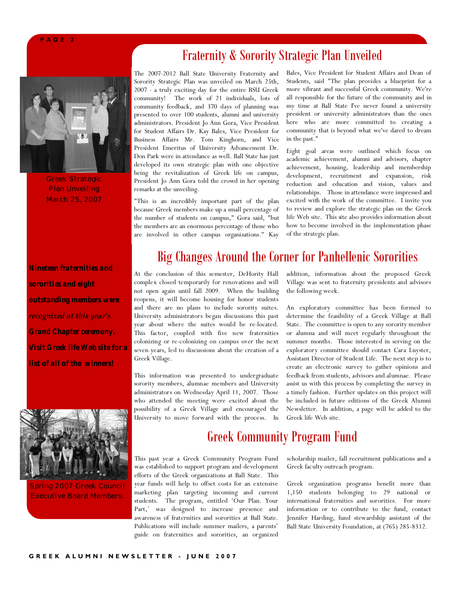#### **P A G E 2**



Greek Strategic Plan Unveiling March 25, 2007

*Nineteen fraternities and sororities and eight outstanding members were recognized at this year's Grand Chapter ceremony. Visit Greek life Web site for a list of all of the winners!* 



Spring 2007 Greek Council Executive Board Members.

### Fraternity & Sorority Strategic Plan Unveiled

The 2007-2012 Ball State University Fraternity and Sorority Strategic Plan was unveiled on March 25th, 2007 - a truly exciting day for the entire BSU Greek community! The work of 21 individuals, lots of community feedback, and 370 days of planning was presented to over 100 students, alumni and university administrators. President Jo Ann Gora, Vice President for Student Affairs Dr. Kay Bales, Vice President for Business Affairs Mr. Tom Kinghorn, and Vice President Emeritus of University Advancement Dr. Don Park were in attendance as well. Ball State has just developed its own strategic plan with one objective being the revitalization of Greek life on campus, President Jo Ann Gora told the crowd in her opening remarks at the unveiling.

"This is an incredibly important part of the plan because Greek members make up a small percentage of the number of students on campus," Gora said, "but the members are an enormous percentage of those who are involved in other campus organizations." Kay Bales, Vice President for Student Affairs and Dean of Students, said "The plan provides a blueprint for a more vibrant and successful Greek community. We're all responsible for the future of the community and in my time at Ball State I've never found a university president or university administrators than the ones here who are more committed to creating a community that is beyond what we've dared to dream in the past."

Eight goal areas were outlined which focus on academic achievement, alumni and advisors, chapter achievement, housing, leadership and membership development, recruitment and expansion, risk reduction and education and vision, values and relationships.Those in attendance were impressed and excited with the work of the committee. I invite you to review and explore the strategic plan on the Greek life Web site. This site also provides information about how to become involved in the implementation phase of the strategic plan.

#### Big Changes Around the Corner for Panhellenic Sororities

At the conclusion of this semester, DeHority Hall complex closed temporarily for renovations and will not open again until fall 2009. When the building reopens, it will become housing for honor students and there are no plans to include sorority suites. University administrators began discussions this past year about where the suites would be re-located. This factor, coupled with five new fraternities colonizing or re-colonizing on campus over the next seven years, led to discussions about the creation of a Greek Village.

This information was presented to undergraduate sorority members, alumnae members and University administrators on Wednesday April 11, 2007. Those who attended the meeting were excited about the possibility of a Greek Village and encouraged the University to move forward with the process. In

addition, information about the proposed Greek Village was sent to fraternity presidents and advisors the following week.

An exploratory committee has been formed to determine the feasibility of a Greek Village at Ball State. The committee is open to any sorority member or alumna and will meet regularly throughout the summer months. Those interested in serving on the exploratory committee should contact Cara Luyster, Assistant Director of Student Life. The next step is to create an electronic survey to gather opinions and feedback from students, advisors and alumnae. Please assist us with this process by completing the survey in a timely fashion. Further updates on this project will be included in future editions of the Greek Alumni Newsletter. In addition, a page will be added to the Greek life Web site.

### Greek Community Program Fund

This past year a Greek Community Program Fund was established to support program and development efforts of the Greek organizations at Ball State. This year funds will help to offset costs for an extensive marketing plan targeting incoming and current students. The program, entitled 'Our Plan. Your Part,' was designed to increase presence and awareness of fraternities and sororities at Ball State. Publications will include summer mailers, a parents' guide on fraternities and sororities, an organized

scholarship mailer, fall recruitment publications and a Greek faculty outreach program.

Greek organization programs benefit more than 1,150 students belonging to 29 national or international fraternities and sororities. For more information or to contribute to the fund, contact Jennifer Harding, fund stewardship assistant of the Ball State University Foundation, at (765) 285-8312.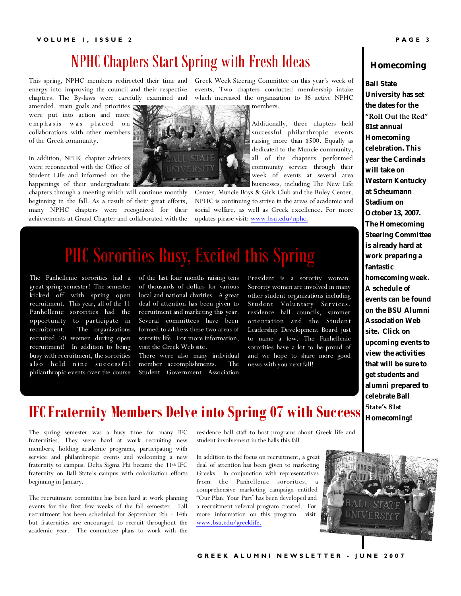#### **V O L U M E 1 , I S S U E 2 P A G E 3**

### NPHC Chapters Start Spring with Fresh Ideas

This spring, NPHC members redirected their time and Greek Week Steering Committee on this year's week of energy into improving the council and their respective events. Two chapters conducted membership intake

amended, main goals and priorities were put into action and more emphasis was placed on collaborations with other members of the Greek community.

In addition, NPHC chapter advisors were reconnected with the Office of Student Life and informed on the happenings of their undergraduate

chapters through a meeting which will continue monthly beginning in the fall. As a result of their great efforts, many NPHC chapters were recognized for their achievements at Grand Chapter and collaborated with the

chapters. The By-laws were carefully examined and which increased the organization to 36 active NPHC members.



Additionally, three chapters held successful philanthropic events raising more than \$500. Equally as dedicated to the Muncie community, all of the chapters performed community service through their week of events at several area businesses, including The New Life

Center, Muncie Boys & Girls Club and the Buley Center. NPHC is continuing to strive in the areas of academic and social welfare, as well as Greek excellence. For more updates please visit: <www.bsu.edu/nphc.>

## PHC Sororities Busy, Excited this Spring

The Panhellenic sororities had a great spring semester! The semester kicked off with spring open recruitment. This year, all of the 11 Panhellenic sororities had the opportunity to participate in recruitment. The organizations recruited 70 women during open recruitment! In addition to being busy with recruitment, the sororities also held nine successful philanthropic events over the course

of the last four months raising tens of thousands of dollars for various local and national charities. A great deal of attention has been given to recruitment and marketing this year. Several committees have been formed to address these two areas of sorority life. For more information, visit the Greek Web site.

There were also many individual member accomplishments. The Student Government Association President is a sorority woman. Sorority women are involved in many other student organizations including Student Voluntary Services, residence hall councils, summer orientation and the Student Leadership Development Board just to name a few. The Panhellenic sororities have a lot to be proud of and we hope to share more good news with you next fall!



**Ball State University has set the dates for the "Roll Out the Red" 81st annual Homecoming celebration. This year the Cardinals will take on Western Kentucky at Scheumann Stadium on October 13, 2007. The Homecoming Steering Committee is already hard at work preparing a fantastic homecoming week. A schedule of events can be found on the BSU Alumni Association Web site. Click on upcoming events to view the activities that will be sure to get students and alumni prepared to celebrate Ball State's 81st Homecoming!** 

### **IFC Fraternity Members Delve into Spring 07 with Success**

The spring semester was a busy time for many IFC fraternities. They were hard at work recruiting new members, holding academic programs, participating with service and philanthropic events and welcoming a new fraternity to campus. Delta Sigma Phi became the 11th IFC fraternity on Ball State's campus with colonization efforts beginning in January.

The recruitment committee has been hard at work planning events for the first few weeks of the fall semester. Fall recruitment has been scheduled for September 9th - 14th but fraternities are encouraged to recruit throughout the academic year. The committee plans to work with the

residence hall staff to host programs about Greek life and student involvement in the halls this fall.

In addition to the focus on recruitment, a great deal of attention has been given to marketing Greeks. In conjunction with representatives from the Panhellenic sororities, a comprehensive marketing campaign entitled "Our Plan. Your Part" has been developed and a recruitment referral program created. For more information on this program visit <www.bsu.edu/greeklife.>